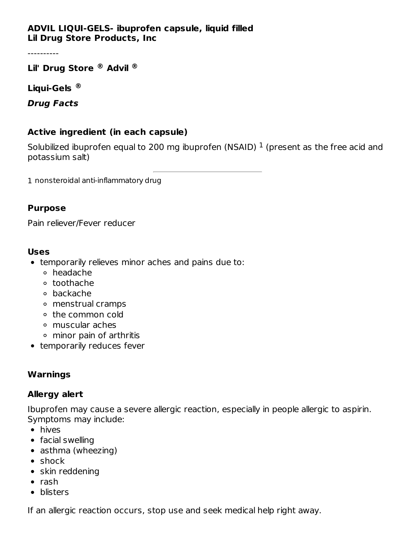### **ADVIL LIQUI-GELS- ibuprofen capsule, liquid filled Lil Drug Store Products, Inc**

----------

**Lil' Drug Store Advil ® ®**

**Liqui-Gels ®**

**Drug Facts**

### **Active ingredient (in each capsule)**

Solubilized ibuprofen equal to 200 mg ibuprofen (NSAID)  $^1$  (present as the free acid and potassium salt)

1 nonsteroidal anti-inflammatory drug

#### **Purpose**

Pain reliever/Fever reducer

#### **Uses**

- temporarily relieves minor aches and pains due to:
	- headache
	- toothache
	- backache
	- menstrual cramps
	- the common cold
	- muscular aches
	- minor pain of arthritis
- temporarily reduces fever

### **Warnings**

### **Allergy alert**

Ibuprofen may cause a severe allergic reaction, especially in people allergic to aspirin. Symptoms may include:

- hives
- facial swelling
- asthma (wheezing)
- shock
- skin reddening
- $\bullet$  rash
- blisters

If an allergic reaction occurs, stop use and seek medical help right away.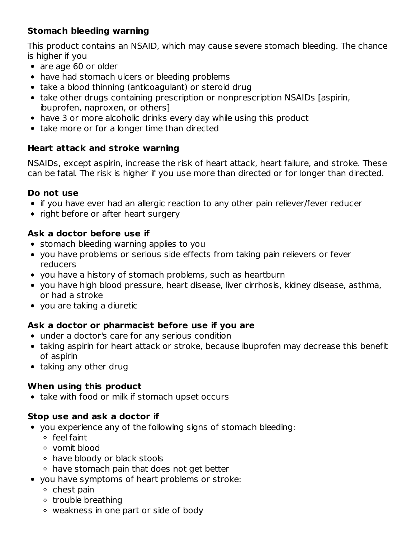# **Stomach bleeding warning**

This product contains an NSAID, which may cause severe stomach bleeding. The chance is higher if you

- are age 60 or older
- have had stomach ulcers or bleeding problems
- take a blood thinning (anticoagulant) or steroid drug
- take other drugs containing prescription or nonprescription NSAIDs [aspirin, ibuprofen, naproxen, or others]
- have 3 or more alcoholic drinks every day while using this product
- take more or for a longer time than directed

## **Heart attack and stroke warning**

NSAIDs, except aspirin, increase the risk of heart attack, heart failure, and stroke. These can be fatal. The risk is higher if you use more than directed or for longer than directed.

### **Do not use**

- if you have ever had an allergic reaction to any other pain reliever/fever reducer
- right before or after heart surgery

### **Ask a doctor before use if**

- stomach bleeding warning applies to you
- you have problems or serious side effects from taking pain relievers or fever reducers
- you have a history of stomach problems, such as heartburn
- you have high blood pressure, heart disease, liver cirrhosis, kidney disease, asthma, or had a stroke
- you are taking a diuretic

### **Ask a doctor or pharmacist before use if you are**

- under a doctor's care for any serious condition
- taking aspirin for heart attack or stroke, because ibuprofen may decrease this benefit of aspirin
- taking any other drug

## **When using this product**

• take with food or milk if stomach upset occurs

### **Stop use and ask a doctor if**

- you experience any of the following signs of stomach bleeding:
	- feel faint
	- vomit blood
	- have bloody or black stools
	- have stomach pain that does not get better
- you have symptoms of heart problems or stroke:
	- $\circ$  chest pain
	- o trouble breathing
	- weakness in one part or side of body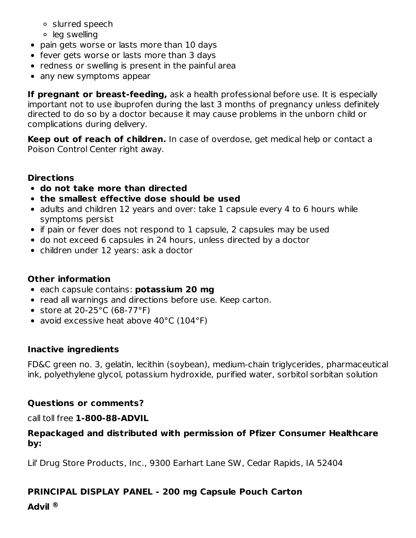- slurred speech
- leg swelling
- pain gets worse or lasts more than 10 days
- fever gets worse or lasts more than 3 days
- redness or swelling is present in the painful area
- any new symptoms appear

**If pregnant or breast-feeding,** ask a health professional before use. It is especially important not to use ibuprofen during the last 3 months of pregnancy unless definitely directed to do so by a doctor because it may cause problems in the unborn child or complications during delivery.

**Keep out of reach of children.** In case of overdose, get medical help or contact a Poison Control Center right away.

## **Directions**

- **do not take more than directed**
- **the smallest effective dose should be used**
- adults and children 12 years and over: take 1 capsule every 4 to 6 hours while symptoms persist
- if pain or fever does not respond to 1 capsule, 2 capsules may be used
- do not exceed 6 capsules in 24 hours, unless directed by a doctor
- children under 12 years: ask a doctor

## **Other information**

- each capsule contains: **potassium 20 mg**
- read all warnings and directions before use. Keep carton.
- store at  $20-25$ °C (68-77°F)
- avoid excessive heat above 40°C (104°F)

## **Inactive ingredients**

FD&C green no. 3, gelatin, lecithin (soybean), medium-chain triglycerides, pharmaceutical ink, polyethylene glycol, potassium hydroxide, purified water, sorbitol sorbitan solution

## **Questions or comments?**

call toll free **1-800-88-ADVIL**

### **Repackaged and distributed with permission of Pfizer Consumer Healthcare by:**

Lil' Drug Store Products, Inc., 9300 Earhart Lane SW, Cedar Rapids, IA 52404

# **PRINCIPAL DISPLAY PANEL - 200 mg Capsule Pouch Carton**

**Advil ®**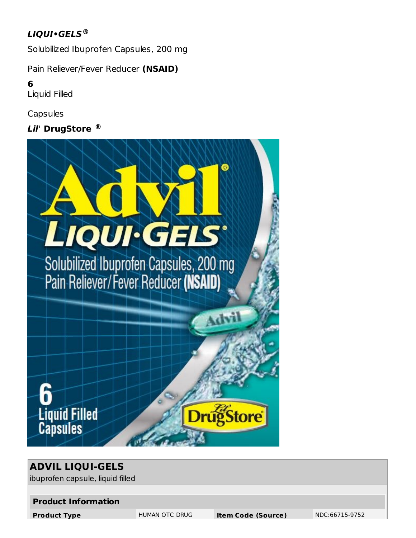# **LIQUI•GELS ®**

Solubilized Ibuprofen Capsules, 200 mg

Pain Reliever/Fever Reducer **(NSAID)**

**6**

Liquid Filled

**Capsules** 

**Lil' DrugStore ®**



# **ADVIL LIQUI-GELS**

ibuprofen capsule, liquid filled

#### **Product Information**

**Product Type INDUMAN OTC DRUG Item Code (Source)** NDC:66715-9752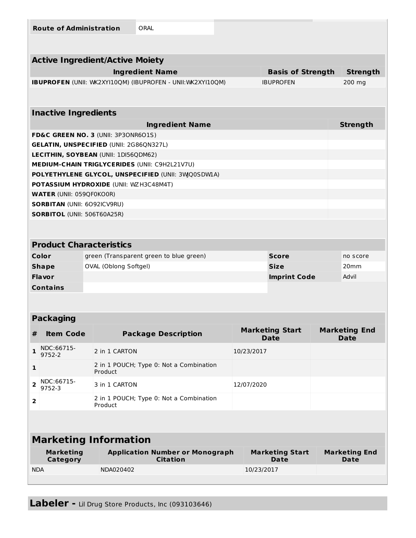|                                                    | <b>Route of Administration</b>     |                             | ORAL                                                        |  |                                |                          |        |                                     |  |  |
|----------------------------------------------------|------------------------------------|-----------------------------|-------------------------------------------------------------|--|--------------------------------|--------------------------|--------|-------------------------------------|--|--|
|                                                    |                                    |                             |                                                             |  |                                |                          |        |                                     |  |  |
| <b>Active Ingredient/Active Moiety</b>             |                                    |                             |                                                             |  |                                |                          |        |                                     |  |  |
|                                                    |                                    |                             | <b>Ingredient Name</b>                                      |  |                                | <b>Basis of Strength</b> |        | <b>Strength</b>                     |  |  |
|                                                    |                                    |                             | IBUPROFEN (UNII: WK2XYI10QM) (IBUPROFEN - UNII: WK2XYI10QM) |  |                                | <b>IBUPROFEN</b>         | 200 mg |                                     |  |  |
|                                                    |                                    |                             |                                                             |  |                                |                          |        |                                     |  |  |
| <b>Inactive Ingredients</b>                        |                                    |                             |                                                             |  |                                |                          |        |                                     |  |  |
|                                                    |                                    |                             | <b>Ingredient Name</b>                                      |  |                                |                          |        | <b>Strength</b>                     |  |  |
|                                                    |                                    |                             | FD&C GREEN NO. 3 (UNII: 3P3ONR6O1S)                         |  |                                |                          |        |                                     |  |  |
| <b>GELATIN, UNSPECIFIED (UNII: 2G86QN327L)</b>     |                                    |                             |                                                             |  |                                |                          |        |                                     |  |  |
| LECITHIN, SOYBEAN (UNII: 1DI56QDM62)               |                                    |                             |                                                             |  |                                |                          |        |                                     |  |  |
|                                                    |                                    |                             | <b>MEDIUM-CHAIN TRIGLYCERIDES (UNII: C9H2L21V7U)</b>        |  |                                |                          |        |                                     |  |  |
| POLYETHYLENE GLYCOL, UNSPECIFIED (UNII: 3WQ0SDW1A) |                                    |                             |                                                             |  |                                |                          |        |                                     |  |  |
| POTASSIUM HYDROXIDE (UNII: WZ H3C48M4T)            |                                    |                             |                                                             |  |                                |                          |        |                                     |  |  |
| <b>WATER (UNII: 059QF0KO0R)</b>                    |                                    |                             |                                                             |  |                                |                          |        |                                     |  |  |
|                                                    | <b>SORBITAN (UNII: 6092ICV9RU)</b> |                             |                                                             |  |                                |                          |        |                                     |  |  |
| <b>SORBITOL (UNII: 506T60A25R)</b>                 |                                    |                             |                                                             |  |                                |                          |        |                                     |  |  |
|                                                    |                                    |                             |                                                             |  |                                |                          |        |                                     |  |  |
|                                                    |                                    |                             |                                                             |  |                                |                          |        |                                     |  |  |
| <b>Product Characteristics</b>                     |                                    |                             |                                                             |  |                                |                          |        |                                     |  |  |
|                                                    | Color                              |                             | green (Transparent green to blue green)                     |  |                                | <b>Score</b>             |        | no score                            |  |  |
| <b>Shape</b>                                       |                                    |                             | OVAL (Oblong Softgel)                                       |  |                                | <b>Size</b>              |        | 20mm                                |  |  |
| Flavor                                             |                                    |                             |                                                             |  |                                | <b>Imprint Code</b>      |        | Advil                               |  |  |
| <b>Contains</b>                                    |                                    |                             |                                                             |  |                                |                          |        |                                     |  |  |
|                                                    |                                    |                             |                                                             |  |                                |                          |        |                                     |  |  |
|                                                    |                                    |                             |                                                             |  |                                |                          |        |                                     |  |  |
|                                                    | <b>Packaging</b>                   |                             |                                                             |  |                                |                          |        |                                     |  |  |
| #                                                  | <b>Item Code</b>                   |                             | <b>Package Description</b>                                  |  | <b>Marketing Start</b><br>Date |                          |        | <b>Marketing End</b><br><b>Date</b> |  |  |
| 1                                                  | NDC:66715-<br>9752-2               | 2 in 1 CARTON               |                                                             |  | 10/23/2017                     |                          |        |                                     |  |  |
| 1                                                  |                                    | Product                     | 2 in 1 POUCH; Type 0: Not a Combination                     |  |                                |                          |        |                                     |  |  |
| 2                                                  | NDC:66715-<br>9752-3               | 12/07/2020<br>3 in 1 CARTON |                                                             |  |                                |                          |        |                                     |  |  |
| 2                                                  |                                    | Product                     | 2 in 1 POUCH; Type 0: Not a Combination                     |  |                                |                          |        |                                     |  |  |
|                                                    |                                    |                             |                                                             |  |                                |                          |        |                                     |  |  |
| <b>Marketing Information</b>                       |                                    |                             |                                                             |  |                                |                          |        |                                     |  |  |
| <b>Marketing</b>                                   |                                    |                             | <b>Application Number or Monograph</b>                      |  |                                | <b>Marketing Start</b>   |        | <b>Marketing End</b>                |  |  |
|                                                    | <b>Category</b>                    |                             | <b>Citation</b>                                             |  |                                | <b>Date</b>              |        | <b>Date</b>                         |  |  |
| <b>NDA</b>                                         |                                    | NDA020402                   |                                                             |  | 10/23/2017                     |                          |        |                                     |  |  |
|                                                    |                                    |                             |                                                             |  |                                |                          |        |                                     |  |  |

 $\mathbb{R}$